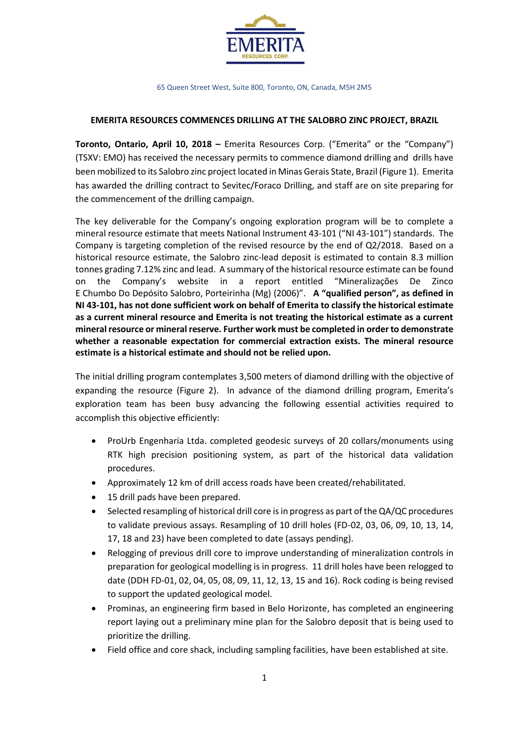

65 Queen Street West, Suite 800, Toronto, ON, Canada, M5H 2M5

## **EMERITA RESOURCES COMMENCES DRILLING AT THE SALOBRO ZINC PROJECT, BRAZIL**

**Toronto, Ontario, April 10, 2018 –** Emerita Resources Corp. ("Emerita" or the "Company") (TSXV: EMO) has received the necessary permits to commence diamond drilling and drills have been mobilized to its Salobro zinc project located in Minas Gerais State, Brazil (Figure 1). Emerita has awarded the drilling contract to Sevitec/Foraco Drilling, and staff are on site preparing for the commencement of the drilling campaign.

The key deliverable for the Company's ongoing exploration program will be to complete a mineral resource estimate that meets National Instrument 43-101 ("NI 43-101") standards. The Company is targeting completion of the revised resource by the end of Q2/2018. Based on a historical resource estimate, the Salobro zinc-lead deposit is estimated to contain 8.3 million tonnes grading 7.12% zinc and lead. A summary of the historical resource estimate can be found on the Company's website in a report entitled "Mineralizações De Zinco E Chumbo Do Depósito Salobro, Porteirinha (Mg) (2006)". **A "qualified person", as defined in NI 43-101, has not done sufficient work on behalf of Emerita to classify the historical estimate as a current mineral resource and Emerita is not treating the historical estimate as a current mineral resource or mineral reserve. Further work must be completed in order to demonstrate whether a reasonable expectation for commercial extraction exists. The mineral resource estimate is a historical estimate and should not be relied upon.**

The initial drilling program contemplates 3,500 meters of diamond drilling with the objective of expanding the resource (Figure 2). In advance of the diamond drilling program, Emerita's exploration team has been busy advancing the following essential activities required to accomplish this objective efficiently:

- ProUrb Engenharia Ltda. completed geodesic surveys of 20 collars/monuments using RTK high precision positioning system, as part of the historical data validation procedures.
- Approximately 12 km of drill access roads have been created/rehabilitated.
- 15 drill pads have been prepared.
- Selected resampling of historical drill core is in progress as part of the QA/QC procedures to validate previous assays. Resampling of 10 drill holes (FD-02, 03, 06, 09, 10, 13, 14, 17, 18 and 23) have been completed to date (assays pending).
- Relogging of previous drill core to improve understanding of mineralization controls in preparation for geological modelling is in progress. 11 drill holes have been relogged to date (DDH FD-01, 02, 04, 05, 08, 09, 11, 12, 13, 15 and 16). Rock coding is being revised to support the updated geological model.
- Prominas, an engineering firm based in Belo Horizonte, has completed an engineering report laying out a preliminary mine plan for the Salobro deposit that is being used to prioritize the drilling.
- Field office and core shack, including sampling facilities, have been established at site.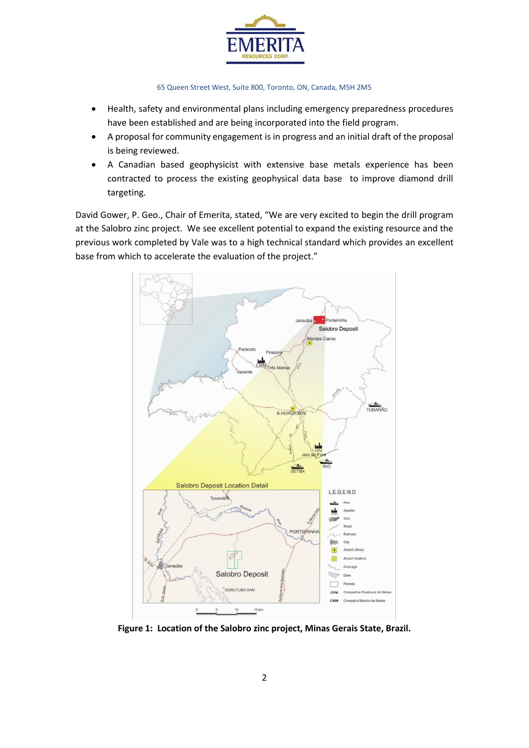

#### 65 Queen Street West, Suite 800, Toronto, ON, Canada, M5H 2M5

- Health, safety and environmental plans including emergency preparedness procedures have been established and are being incorporated into the field program.
- A proposal for community engagement is in progress and an initial draft of the proposal is being reviewed.
- A Canadian based geophysicist with extensive base metals experience has been contracted to process the existing geophysical data base to improve diamond drill targeting.

David Gower, P. Geo., Chair of Emerita, stated, "We are very excited to begin the drill program at the Salobro zinc project. We see excellent potential to expand the existing resource and the previous work completed by Vale was to a high technical standard which provides an excellent base from which to accelerate the evaluation of the project."



**Figure 1: Location of the Salobro zinc project, Minas Gerais State, Brazil.**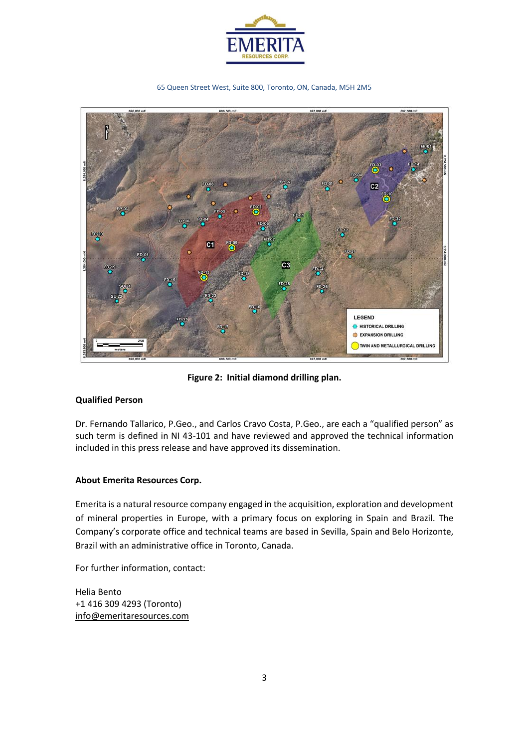

65 Queen Street West, Suite 800, Toronto, ON, Canada, M5H 2M5



**Figure 2: Initial diamond drilling plan.**

## **Qualified Person**

Dr. Fernando Tallarico, P.Geo., and Carlos Cravo Costa, P.Geo., are each a "qualified person" as such term is defined in NI 43-101 and have reviewed and approved the technical information included in this press release and have approved its dissemination.

# **About Emerita Resources Corp.**

Emerita is a natural resource company engaged in the acquisition, exploration and development of mineral properties in Europe, with a primary focus on exploring in Spain and Brazil. The Company's corporate office and technical teams are based in Sevilla, Spain and Belo Horizonte, Brazil with an administrative office in Toronto, Canada.

For further information, contact:

Helia Bento +1 416 309 4293 (Toronto) [info@emeritaresources.com](mailto:info@emeritaresources.com)